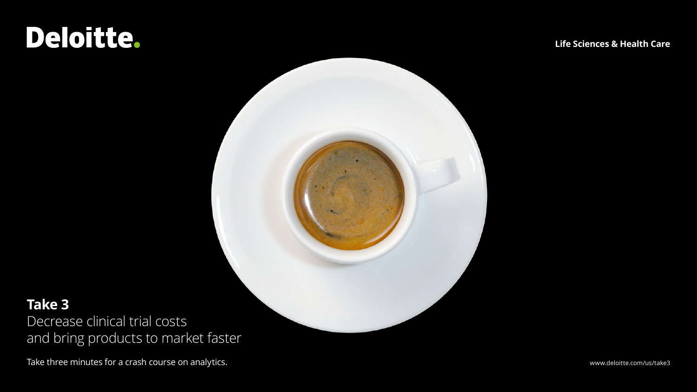# Deloitte.

**Life Sciences & Health Care**



### **Take 3**

Decrease clinical trial costs and bring products to market faster

Take three minutes for a crash course on analytics. The matrix of the state of the state of the state of the state of the state of the state of the state of the state of the state of the state of the state of the state of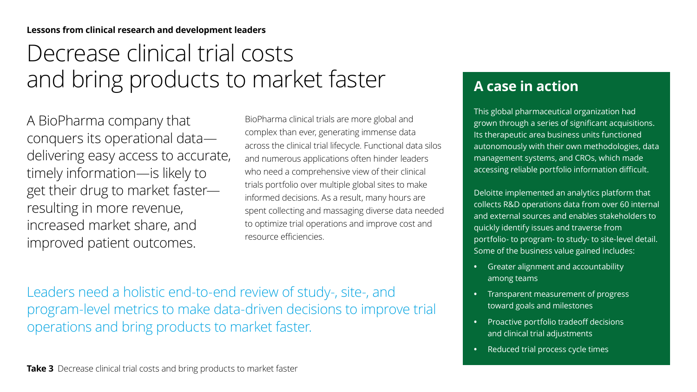#### **Lessons from clinical research and development leaders**

## Decrease clinical trial costs and bring products to market faster

A BioPharma company that conquers its operational data delivering easy access to accurate, timely information—is likely to get their drug to market faster resulting in more revenue, increased market share, and improved patient outcomes.

BioPharma clinical trials are more global and complex than ever, generating immense data across the clinical trial lifecycle. Functional data silos and numerous applications often hinder leaders who need a comprehensive view of their clinical trials portfolio over multiple global sites to make informed decisions. As a result, many hours are spent collecting and massaging diverse data needed to optimize trial operations and improve cost and resource efficiencies.

Leaders need a holistic end-to-end review of study-, site-, and program-level metrics to make data-driven decisions to improve trial operations and bring products to market faster.

#### **Take 3** Decrease clinical trial costs and bring products to market faster

### **A case in action**

This global pharmaceutical organization had grown through a series of significant acquisitions. Its therapeutic area business units functioned autonomously with their own methodologies, data management systems, and CROs, which made accessing reliable portfolio information difficult.

Deloitte implemented an analytics platform that collects R&D operations data from over 60 internal and external sources and enables stakeholders to quickly identify issues and traverse from portfolio- to program- to study- to site-level detail. Some of the business value gained includes:

- **•** Greater alignment and accountability among teams
- **•** Transparent measurement of progress toward goals and milestones
- **•** Proactive portfolio tradeoff decisions and clinical trial adjustments
- **•** Reduced trial process cycle times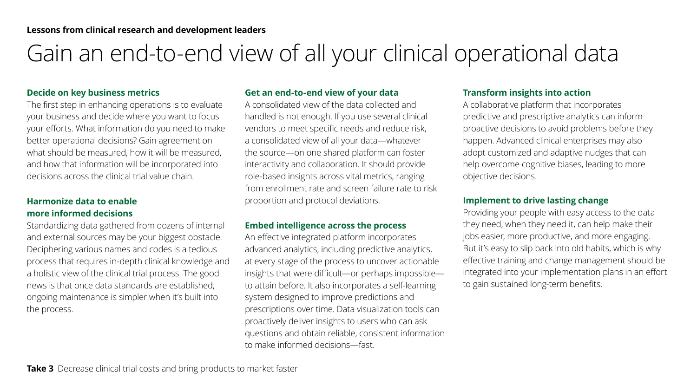### Gain an end-to-end view of all your clinical operational data

#### **Decide on key business metrics**

The first step in enhancing operations is to evaluate your business and decide where you want to focus your efforts. What information do you need to make better operational decisions? Gain agreement on what should be measured, how it will be measured, and how that information will be incorporated into decisions across the clinical trial value chain.

#### **Harmonize data to enable more informed decisions**

Standardizing data gathered from dozens of internal and external sources may be your biggest obstacle. Deciphering various names and codes is a tedious process that requires in-depth clinical knowledge and a holistic view of the clinical trial process. The good news is that once data standards are established, ongoing maintenance is simpler when it's built into the process.

#### **Get an end-to-end view of your data**

A consolidated view of the data collected and handled is not enough. If you use several clinical vendors to meet specific needs and reduce risk, a consolidated view of all your data—whatever the source—on one shared platform can foster interactivity and collaboration. It should provide role-based insights across vital metrics, ranging from enrollment rate and screen failure rate to risk proportion and protocol deviations.

#### **Embed intelligence across the process**

An effective integrated platform incorporates advanced analytics, including predictive analytics, at every stage of the process to uncover actionable insights that were difficult—or perhaps impossible to attain before. It also incorporates a self-learning system designed to improve predictions and prescriptions over time. Data visualization tools can proactively deliver insights to users who can ask questions and obtain reliable, consistent information to make informed decisions—fast.

#### **Transform insights into action**

A collaborative platform that incorporates predictive and prescriptive analytics can inform proactive decisions to avoid problems before they happen. Advanced clinical enterprises may also adopt customized and adaptive nudges that can help overcome cognitive biases, leading to more objective decisions.

#### **Implement to drive lasting change**

Providing your people with easy access to the data they need, when they need it, can help make their jobs easier, more productive, and more engaging. But it's easy to slip back into old habits, which is why effective training and change management should be integrated into your implementation plans in an effort to gain sustained long-term benefits.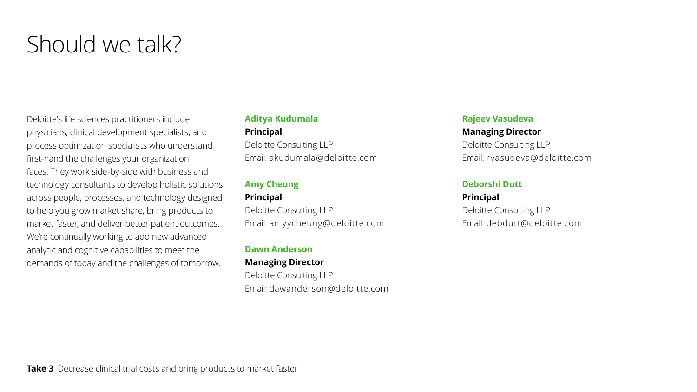### Should we talk?

Deloitte's life sciences practitioners include physicians, clinical development specialists, and process optimization specialists who understand first-hand the challenges your organization faces. They work side-by-side with business and technology consultants to develop holistic solutions across people, processes, and technology designed to help you grow market share, bring products to market faster, and deliver better patient outcomes. We're continually working to add new advanced analytic and cognitive capabilities to meet the demands of today and the challenges of tomorrow.

#### **Aditya Kudumala Principal** Deloitte Consulting LLP Email: akudumala@deloitte.com

#### **Amy Cheung Principal**

Deloitte Consulting LLP Email: amyycheung@deloitte.com

**Dawn Anderson Managing Director** Deloitte Consulting LLP Email: dawanderson@deloitte.com

#### **Rajeev Vasudeva Managing Director**

Deloitte Consulting LLP Email: rvasudeva@deloitte.com

#### **Deborshi Dutt**

**Principal** Deloitte Consulting LLP Email: debdutt@deloitte.com